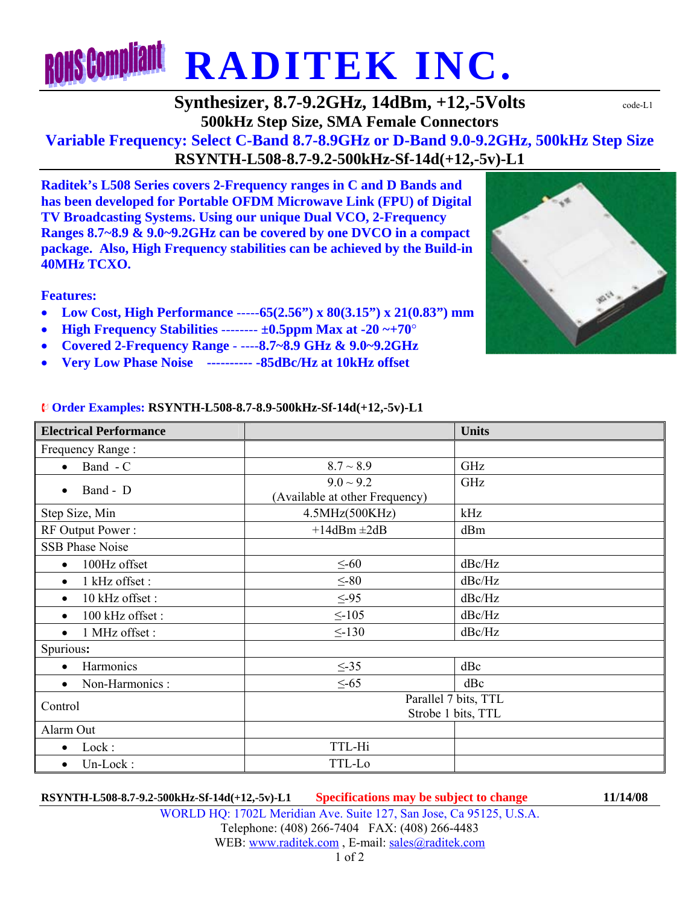# **RONS Compliant RADITEK INC.**

### **Synthesizer, 8.7-9.2GHz, 14dBm, +12,-5Volts**  $\text{code-L1}$ **500kHz Step Size, SMA Female Connectors**

## **Variable Frequency: Select C-Band 8.7-8.9GHz or D-Band 9.0-9.2GHz, 500kHz Step Size RSYNTH-L508-8.7-9.2-500kHz-Sf-14d(+12,-5v)-L1**

**Raditek's L508 Series covers 2-Frequency ranges in C and D Bands and has been developed for Portable OFDM Microwave Link (FPU) of Digital TV Broadcasting Systems. Using our unique Dual VCO, 2-Frequency Ranges 8.7~8.9 & 9.0~9.2GHz can be covered by one DVCO in a compact package. Also, High Frequency stabilities can be achieved by the Build-in 40MHz TCXO.** 

#### **Features:**

- **Low Cost, High Performance** -----**65(2.56") x 80(3.15") x 21(0.83") mm**
- **High Frequency Stabilities** -------- **±0.5ppm Max at -20 ~+70**°
- **Covered 2-Frequency Range** ----**8.7~8.9 GHz & 9.0~9.2GHz**
- **Very Low Phase Noise ---------- -85dBc/Hz at 10kHz offset**



#### ¨ **Order Examples: RSYNTH-L508-8.7-8.9-500kHz-Sf-14d(+12,-5v)-L1**

| <b>Electrical Performance</b> |                                | <b>Units</b> |
|-------------------------------|--------------------------------|--------------|
| Frequency Range:              |                                |              |
| Band - C<br>$\bullet$         | $8.7 \sim 8.9$                 | GHz          |
| Band - D<br>$\bullet$         | $9.0 \sim 9.2$                 | GHz          |
|                               | (Available at other Frequency) |              |
| Step Size, Min                | 4.5MHz(500KHz)                 | kHz          |
| RF Output Power:              | $+14$ dBm $\pm 2$ dB           | dBm          |
| <b>SSB Phase Noise</b>        |                                |              |
| 100Hz offset<br>$\bullet$     | $\leq$ -60                     | dBc/Hz       |
| 1 kHz offset :<br>$\bullet$   | $\leq$ -80                     | dBc/Hz       |
| 10 kHz offset:<br>$\bullet$   | $\leq -95$                     | dBc/Hz       |
| 100 kHz offset:<br>$\bullet$  | $\leq$ -105                    | dBc/Hz       |
| 1 MHz offset:<br>$\bullet$    | $\leq$ -130                    | dBc/Hz       |
| Spurious:                     |                                |              |
| Harmonics<br>$\bullet$        | $\leq -35$                     | dBc          |
| Non-Harmonics :<br>$\bullet$  | $\leq -65$                     | dBc          |
| Control                       | Parallel 7 bits, TTL           |              |
|                               | Strobe 1 bits, TTL             |              |
| Alarm Out                     |                                |              |
| Lock:<br>$\bullet$            | TTL-Hi                         |              |
| Un-Lock:<br>$\bullet$         | TTL-Lo                         |              |

**RSYNTH-L508-8.7-9.2-500kHz-Sf-14d(+12,-5v)-L1 Specifications may be subject to change 11/14/08**

WORLD HQ: 1702L Meridian Ave. Suite 127, San Jose, Ca 95125, U.S.A. Telephone: (408) 266-7404 FAX: (408) 266-4483 WEB: www.raditek.com, E-mail: sales@raditek.com